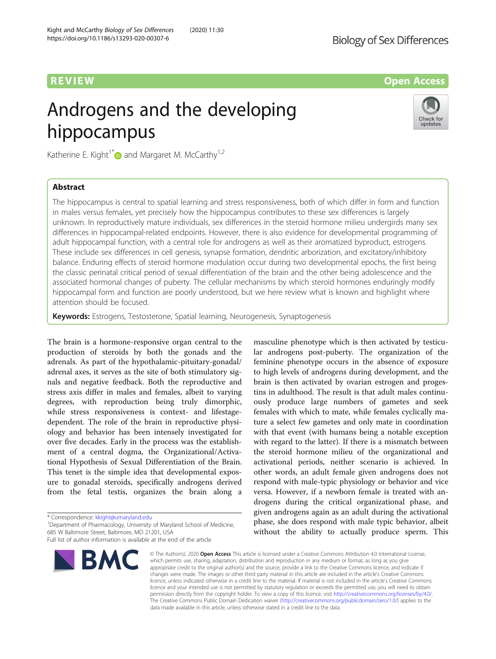# **REVIEW CONSUMING THE CONSUMING OPEN ACCESS**

# Androgens and the developing hippocampus



Katherine E. Kight<sup>1[\\*](http://orcid.org/0000-0001-9382-4700)</sup> and Margaret M. McCarthy<sup>1,2</sup>

# Abstract

The hippocampus is central to spatial learning and stress responsiveness, both of which differ in form and function in males versus females, yet precisely how the hippocampus contributes to these sex differences is largely unknown. In reproductively mature individuals, sex differences in the steroid hormone milieu undergirds many sex differences in hippocampal-related endpoints. However, there is also evidence for developmental programming of adult hippocampal function, with a central role for androgens as well as their aromatized byproduct, estrogens. These include sex differences in cell genesis, synapse formation, dendritic arborization, and excitatory/inhibitory balance. Enduring effects of steroid hormone modulation occur during two developmental epochs, the first being the classic perinatal critical period of sexual differentiation of the brain and the other being adolescence and the associated hormonal changes of puberty. The cellular mechanisms by which steroid hormones enduringly modify hippocampal form and function are poorly understood, but we here review what is known and highlight where attention should be focused.

Keywords: Estrogens, Testosterone, Spatial learning, Neurogenesis, Synaptogenesis

The brain is a hormone-responsive organ central to the production of steroids by both the gonads and the adrenals. As part of the hypothalamic-pituitary-gonadal/ adrenal axes, it serves as the site of both stimulatory signals and negative feedback. Both the reproductive and stress axis differ in males and females, albeit to varying degrees, with reproduction being truly dimorphic, while stress responsiveness is context- and lifestagedependent. The role of the brain in reproductive physiology and behavior has been intensely investigated for over five decades. Early in the process was the establishment of a central dogma, the Organizational/Activational Hypothesis of Sexual Differentiation of the Brain. This tenet is the simple idea that developmental exposure to gonadal steroids, specifically androgens derived from the fetal testis, organizes the brain along a

\* Correspondence: [kkight@umaryland.edu](mailto:kkight@umaryland.edu) <sup>1</sup>

<sup>1</sup>Department of Pharmacology, University of Maryland School of Medicine, 685 W Baltimore Street, Baltimore, MD 21201, USA

Full list of author information is available at the end of the article



masculine phenotype which is then activated by testicular androgens post-puberty. The organization of the feminine phenotype occurs in the absence of exposure to high levels of androgens during development, and the brain is then activated by ovarian estrogen and progestins in adulthood. The result is that adult males continuously produce large numbers of gametes and seek females with which to mate, while females cyclically mature a select few gametes and only mate in coordination with that event (with humans being a notable exception with regard to the latter). If there is a mismatch between the steroid hormone milieu of the organizational and activational periods, neither scenario is achieved. In other words, an adult female given androgens does not respond with male-typic physiology or behavior and vice versa. However, if a newborn female is treated with androgens during the critical organizational phase, and given androgens again as an adult during the activational phase, she does respond with male typic behavior, albeit without the ability to actually produce sperm. This

© The Author(s), 2020 **Open Access** This article is licensed under a Creative Commons Attribution 4.0 International License, which permits use, sharing, adaptation, distribution and reproduction in any medium or format, as long as you give appropriate credit to the original author(s) and the source, provide a link to the Creative Commons licence, and indicate if changes were made. The images or other third party material in this article are included in the article's Creative Commons licence, unless indicated otherwise in a credit line to the material. If material is not included in the article's Creative Commons licence and your intended use is not permitted by statutory regulation or exceeds the permitted use, you will need to obtain permission directly from the copyright holder. To view a copy of this licence, visit [http://creativecommons.org/licenses/by/4.0/.](http://creativecommons.org/licenses/by/4.0/) The Creative Commons Public Domain Dedication waiver [\(http://creativecommons.org/publicdomain/zero/1.0/](http://creativecommons.org/publicdomain/zero/1.0/)) applies to the data made available in this article, unless otherwise stated in a credit line to the data.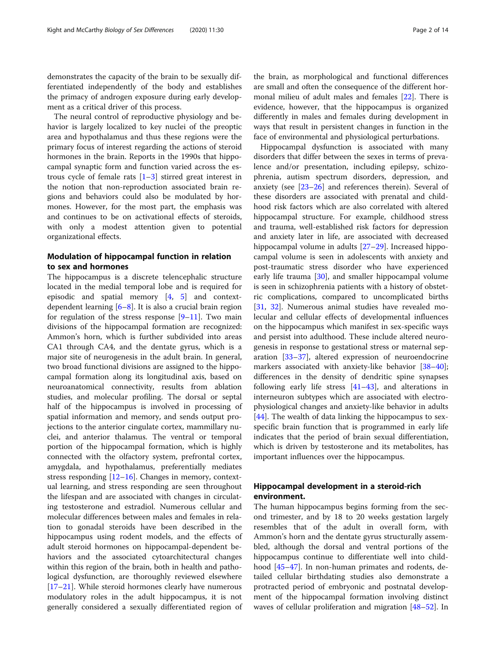demonstrates the capacity of the brain to be sexually differentiated independently of the body and establishes the primacy of androgen exposure during early development as a critical driver of this process.

The neural control of reproductive physiology and behavior is largely localized to key nuclei of the preoptic area and hypothalamus and thus these regions were the primary focus of interest regarding the actions of steroid hormones in the brain. Reports in the 1990s that hippocampal synaptic form and function varied across the estrous cycle of female rats  $[1-3]$  $[1-3]$  $[1-3]$  $[1-3]$  $[1-3]$  stirred great interest in the notion that non-reproduction associated brain regions and behaviors could also be modulated by hormones. However, for the most part, the emphasis was and continues to be on activational effects of steroids, with only a modest attention given to potential organizational effects.

# Modulation of hippocampal function in relation to sex and hormones

The hippocampus is a discrete telencephalic structure located in the medial temporal lobe and is required for episodic and spatial memory [\[4](#page-9-0), [5\]](#page-9-0) and contextdependent learning  $[6–8]$  $[6–8]$  $[6–8]$  $[6–8]$  $[6–8]$ . It is also a crucial brain region for regulation of the stress response  $[9-11]$  $[9-11]$  $[9-11]$ . Two main divisions of the hippocampal formation are recognized: Ammon's horn, which is further subdivided into areas CA1 through CA4, and the dentate gyrus, which is a major site of neurogenesis in the adult brain. In general, two broad functional divisions are assigned to the hippocampal formation along its longitudinal axis, based on neuroanatomical connectivity, results from ablation studies, and molecular profiling. The dorsal or septal half of the hippocampus is involved in processing of spatial information and memory, and sends output projections to the anterior cingulate cortex, mammillary nuclei, and anterior thalamus. The ventral or temporal portion of the hippocampal formation, which is highly connected with the olfactory system, prefrontal cortex, amygdala, and hypothalamus, preferentially mediates stress responding  $[12–16]$  $[12–16]$  $[12–16]$ . Changes in memory, contextual learning, and stress responding are seen throughout the lifespan and are associated with changes in circulating testosterone and estradiol. Numerous cellular and molecular differences between males and females in relation to gonadal steroids have been described in the hippocampus using rodent models, and the effects of adult steroid hormones on hippocampal-dependent behaviors and the associated cytoarchitectural changes within this region of the brain, both in health and pathological dysfunction, are thoroughly reviewed elsewhere [[17](#page-10-0)–[21](#page-10-0)]. While steroid hormones clearly have numerous modulatory roles in the adult hippocampus, it is not generally considered a sexually differentiated region of

the brain, as morphological and functional differences are small and often the consequence of the different hormonal milieu of adult males and females [[22\]](#page-10-0). There is evidence, however, that the hippocampus is organized differently in males and females during development in ways that result in persistent changes in function in the face of environmental and physiological perturbations.

Hippocampal dysfunction is associated with many disorders that differ between the sexes in terms of prevalence and/or presentation, including epilepsy, schizophrenia, autism spectrum disorders, depression, and anxiety (see [\[23](#page-10-0)–[26\]](#page-10-0) and references therein). Several of these disorders are associated with prenatal and childhood risk factors which are also correlated with altered hippocampal structure. For example, childhood stress and trauma, well-established risk factors for depression and anxiety later in life, are associated with decreased hippocampal volume in adults [\[27](#page-10-0)–[29](#page-10-0)]. Increased hippocampal volume is seen in adolescents with anxiety and post-traumatic stress disorder who have experienced early life trauma [[30](#page-10-0)], and smaller hippocampal volume is seen in schizophrenia patients with a history of obstetric complications, compared to uncomplicated births [[31,](#page-10-0) [32\]](#page-10-0). Numerous animal studies have revealed molecular and cellular effects of developmental influences on the hippocampus which manifest in sex-specific ways and persist into adulthood. These include altered neurogenesis in response to gestational stress or maternal separation [\[33](#page-10-0)–[37\]](#page-10-0), altered expression of neuroendocrine markers associated with anxiety-like behavior [[38](#page-10-0)–[40](#page-10-0)]; differences in the density of dendritic spine synapses following early life stress [\[41](#page-10-0)–[43\]](#page-10-0), and alterations in interneuron subtypes which are associated with electrophysiological changes and anxiety-like behavior in adults [[44\]](#page-10-0). The wealth of data linking the hippocampus to sexspecific brain function that is programmed in early life indicates that the period of brain sexual differentiation, which is driven by testosterone and its metabolites, has important influences over the hippocampus.

# Hippocampal development in a steroid-rich environment.

The human hippocampus begins forming from the second trimester, and by 18 to 20 weeks gestation largely resembles that of the adult in overall form, with Ammon's horn and the dentate gyrus structurally assembled, although the dorsal and ventral portions of the hippocampus continue to differentiate well into childhood [\[45](#page-10-0)–[47\]](#page-10-0). In non-human primates and rodents, detailed cellular birthdating studies also demonstrate a protracted period of embryonic and postnatal development of the hippocampal formation involving distinct waves of cellular proliferation and migration [[48](#page-10-0)–[52](#page-10-0)]. In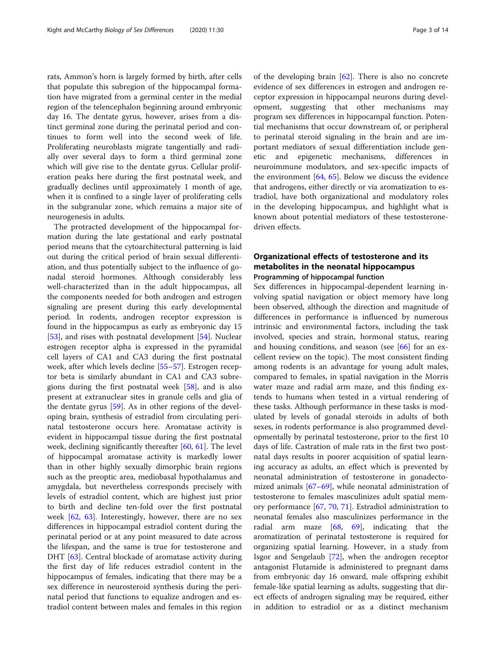rats, Ammon's horn is largely formed by birth, after cells that populate this subregion of the hippocampal formation have migrated from a germinal center in the medial region of the telencephalon beginning around embryonic day 16. The dentate gyrus, however, arises from a distinct germinal zone during the perinatal period and continues to form well into the second week of life. Proliferating neuroblasts migrate tangentially and radially over several days to form a third germinal zone which will give rise to the dentate gyrus. Cellular proliferation peaks here during the first postnatal week, and gradually declines until approximately 1 month of age, when it is confined to a single layer of proliferating cells in the subgranular zone, which remains a major site of neurogenesis in adults.

The protracted development of the hippocampal formation during the late gestational and early postnatal period means that the cytoarchitectural patterning is laid out during the critical period of brain sexual differentiation, and thus potentially subject to the influence of gonadal steroid hormones. Although considerably less well-characterized than in the adult hippocampus, all the components needed for both androgen and estrogen signaling are present during this early developmental period. In rodents, androgen receptor expression is found in the hippocampus as early as embryonic day 15 [[53\]](#page-11-0), and rises with postnatal development [[54\]](#page-11-0). Nuclear estrogen receptor alpha is expressed in the pyramidal cell layers of CA1 and CA3 during the first postnatal week, after which levels decline [\[55](#page-11-0)–[57\]](#page-11-0). Estrogen receptor beta is similarly abundant in CA1 and CA3 subregions during the first postnatal week [[58\]](#page-11-0), and is also present at extranuclear sites in granule cells and glia of the dentate gyrus [\[59](#page-11-0)]. As in other regions of the developing brain, synthesis of estradiol from circulating perinatal testosterone occurs here. Aromatase activity is evident in hippocampal tissue during the first postnatal week, declining significantly thereafter [[60,](#page-11-0) [61\]](#page-11-0). The level of hippocampal aromatase activity is markedly lower than in other highly sexually dimorphic brain regions such as the preoptic area, mediobasal hypothalamus and amygdala, but nevertheless corresponds precisely with levels of estradiol content, which are highest just prior to birth and decline ten-fold over the first postnatal week [[62,](#page-11-0) [63](#page-11-0)]. Interestingly, however, there are no sex differences in hippocampal estradiol content during the perinatal period or at any point measured to date across the lifespan, and the same is true for testosterone and DHT [\[63](#page-11-0)]. Central blockade of aromatase activity during the first day of life reduces estradiol content in the hippocampus of females, indicating that there may be a sex difference in neurosteroid synthesis during the perinatal period that functions to equalize androgen and estradiol content between males and females in this region of the developing brain [[62](#page-11-0)]. There is also no concrete evidence of sex differences in estrogen and androgen receptor expression in hippocampal neurons during development, suggesting that other mechanisms may program sex differences in hippocampal function. Potential mechanisms that occur downstream of, or peripheral to perinatal steroid signaling in the brain and are important mediators of sexual differentiation include genetic and epigenetic mechanisms, differences in neuroimmune modulators, and sex-specific impacts of the environment  $[64, 65]$  $[64, 65]$  $[64, 65]$  $[64, 65]$ . Below we discuss the evidence that androgens, either directly or via aromatization to estradiol, have both organizational and modulatory roles in the developing hippocampus, and highlight what is known about potential mediators of these testosteronedriven effects.

# Organizational effects of testosterone and its metabolites in the neonatal hippocampus Programming of hippocampal function

Sex differences in hippocampal-dependent learning involving spatial navigation or object memory have long been observed, although the direction and magnitude of differences in performance is influenced by numerous intrinsic and environmental factors, including the task involved, species and strain, hormonal status, rearing and housing conditions, and season (see [\[66\]](#page-11-0) for an excellent review on the topic). The most consistent finding among rodents is an advantage for young adult males, compared to females, in spatial navigation in the Morris water maze and radial arm maze, and this finding extends to humans when tested in a virtual rendering of these tasks. Although performance in these tasks is modulated by levels of gonadal steroids in adults of both sexes, in rodents performance is also programmed developmentally by perinatal testosterone, prior to the first 10 days of life. Castration of male rats in the first two postnatal days results in poorer acquisition of spatial learning accuracy as adults, an effect which is prevented by neonatal administration of testosterone in gonadectomized animals [\[67](#page-11-0)–[69\]](#page-11-0), while neonatal administration of testosterone to females masculinizes adult spatial memory performance [\[67](#page-11-0), [70](#page-11-0), [71\]](#page-11-0). Estradiol administration to neonatal females also masculinizes performance in the radial arm maze  $[68, 69]$  $[68, 69]$  $[68, 69]$  $[68, 69]$  $[68, 69]$ , indicating that the aromatization of perinatal testosterone is required for organizing spatial learning. However, in a study from Isgor and Sengelaub [\[72](#page-11-0)], when the androgen receptor antagonist Flutamide is administered to pregnant dams from embryonic day 16 onward, male offspring exhibit female-like spatial learning as adults, suggesting that direct effects of androgen signaling may be required, either in addition to estradiol or as a distinct mechanism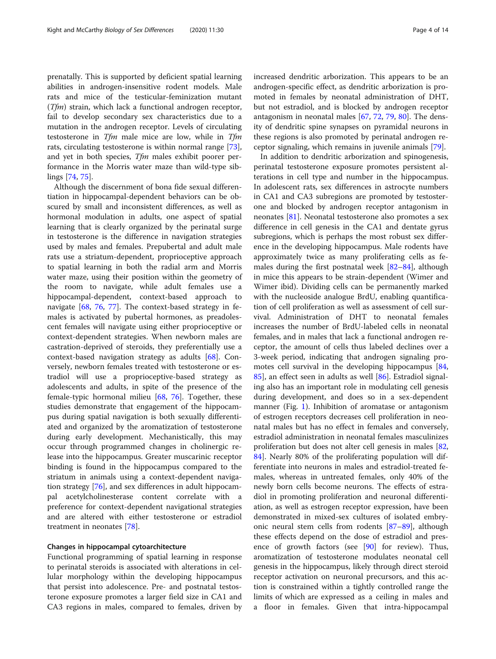prenatally. This is supported by deficient spatial learning abilities in androgen-insensitive rodent models. Male rats and mice of the testicular-feminization mutant  $(Tfm)$  strain, which lack a functional androgen receptor, fail to develop secondary sex characteristics due to a mutation in the androgen receptor. Levels of circulating testosterone in  $Tf$ m male mice are low, while in  $Tf$ m rats, circulating testosterone is within normal range [\[73](#page-11-0)], and yet in both species, Tfm males exhibit poorer performance in the Morris water maze than wild-type siblings [[74,](#page-11-0) [75\]](#page-11-0).

Although the discernment of bona fide sexual differentiation in hippocampal-dependent behaviors can be obscured by small and inconsistent differences, as well as hormonal modulation in adults, one aspect of spatial learning that is clearly organized by the perinatal surge in testosterone is the difference in navigation strategies used by males and females. Prepubertal and adult male rats use a striatum-dependent, proprioceptive approach to spatial learning in both the radial arm and Morris water maze, using their position within the geometry of the room to navigate, while adult females use a hippocampal-dependent, context-based approach to navigate [[68](#page-11-0), [76,](#page-11-0) [77](#page-11-0)]. The context-based strategy in females is activated by pubertal hormones, as preadolescent females will navigate using either proprioceptive or context-dependent strategies. When newborn males are castration-deprived of steroids, they preferentially use a context-based navigation strategy as adults [\[68](#page-11-0)]. Conversely, newborn females treated with testosterone or estradiol will use a proprioceptive-based strategy as adolescents and adults, in spite of the presence of the female-typic hormonal milieu  $[68, 76]$  $[68, 76]$  $[68, 76]$  $[68, 76]$ . Together, these studies demonstrate that engagement of the hippocampus during spatial navigation is both sexually differentiated and organized by the aromatization of testosterone during early development. Mechanistically, this may occur through programmed changes in cholinergic release into the hippocampus. Greater muscarinic receptor binding is found in the hippocampus compared to the striatum in animals using a context-dependent navigation strategy [[76](#page-11-0)], and sex differences in adult hippocampal acetylcholinesterase content correlate with a preference for context-dependent navigational strategies and are altered with either testosterone or estradiol treatment in neonates [[78\]](#page-11-0).

## Changes in hippocampal cytoarchitecture

Functional programming of spatial learning in response to perinatal steroids is associated with alterations in cellular morphology within the developing hippocampus that persist into adolescence. Pre- and postnatal testosterone exposure promotes a larger field size in CA1 and CA3 regions in males, compared to females, driven by increased dendritic arborization. This appears to be an androgen-specific effect, as dendritic arborization is promoted in females by neonatal administration of DHT, but not estradiol, and is blocked by androgen receptor antagonism in neonatal males [[67](#page-11-0), [72](#page-11-0), [79](#page-11-0), [80](#page-11-0)]. The density of dendritic spine synapses on pyramidal neurons in these regions is also promoted by perinatal androgen receptor signaling, which remains in juvenile animals [\[79](#page-11-0)].

In addition to dendritic arborization and spinogenesis, perinatal testosterone exposure promotes persistent alterations in cell type and number in the hippocampus. In adolescent rats, sex differences in astrocyte numbers in CA1 and CA3 subregions are promoted by testosterone and blocked by androgen receptor antagonism in neonates [[81\]](#page-11-0). Neonatal testosterone also promotes a sex difference in cell genesis in the CA1 and dentate gyrus subregions, which is perhaps the most robust sex difference in the developing hippocampus. Male rodents have approximately twice as many proliferating cells as fe-males during the first postnatal week [[82](#page-11-0)–[84\]](#page-11-0), although in mice this appears to be strain-dependent (Wimer and Wimer ibid). Dividing cells can be permanently marked with the nucleoside analogue BrdU, enabling quantification of cell proliferation as well as assessment of cell survival. Administration of DHT to neonatal females increases the number of BrdU-labeled cells in neonatal females, and in males that lack a functional androgen receptor, the amount of cells thus labeled declines over a 3-week period, indicating that androgen signaling promotes cell survival in the developing hippocampus [[84](#page-11-0), [85\]](#page-11-0), an effect seen in adults as well [\[86](#page-11-0)]. Estradiol signaling also has an important role in modulating cell genesis during development, and does so in a sex-dependent manner (Fig. [1\)](#page-4-0). Inhibition of aromatase or antagonism of estrogen receptors decreases cell proliferation in neonatal males but has no effect in females and conversely, estradiol administration in neonatal females masculinizes proliferation but does not alter cell genesis in males [[82](#page-11-0), [84\]](#page-11-0). Nearly 80% of the proliferating population will differentiate into neurons in males and estradiol-treated females, whereas in untreated females, only 40% of the newly born cells become neurons. The effects of estradiol in promoting proliferation and neuronal differentiation, as well as estrogen receptor expression, have been demonstrated in mixed-sex cultures of isolated embryonic neural stem cells from rodents [\[87](#page-11-0)–[89\]](#page-11-0), although these effects depend on the dose of estradiol and presence of growth factors (see [\[90](#page-11-0)] for review). Thus, aromatization of testosterone modulates neonatal cell genesis in the hippocampus, likely through direct steroid receptor activation on neuronal precursors, and this action is constrained within a tightly controlled range the limits of which are expressed as a ceiling in males and a floor in females. Given that intra-hippocampal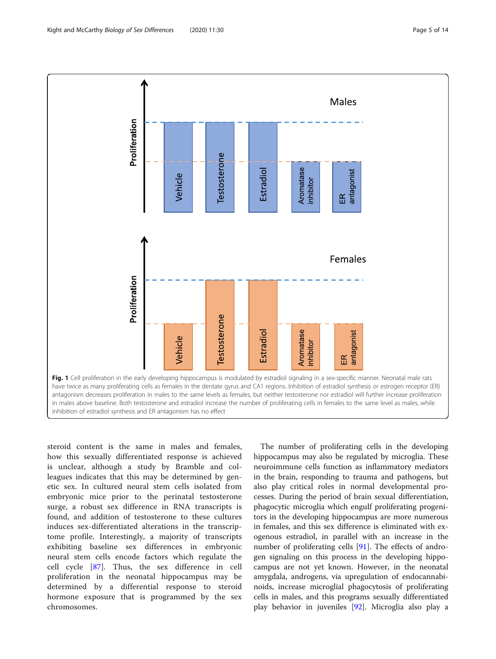<span id="page-4-0"></span>

steroid content is the same in males and females, how this sexually differentiated response is achieved is unclear, although a study by Bramble and colleagues indicates that this may be determined by genetic sex. In cultured neural stem cells isolated from embryonic mice prior to the perinatal testosterone surge, a robust sex difference in RNA transcripts is found, and addition of testosterone to these cultures induces sex-differentiated alterations in the transcriptome profile. Interestingly, a majority of transcripts exhibiting baseline sex differences in embryonic neural stem cells encode factors which regulate the cell cycle [[87\]](#page-11-0). Thus, the sex difference in cell proliferation in the neonatal hippocampus may be determined by a differential response to steroid hormone exposure that is programmed by the sex chromosomes.

The number of proliferating cells in the developing hippocampus may also be regulated by microglia. These neuroimmune cells function as inflammatory mediators in the brain, responding to trauma and pathogens, but also play critical roles in normal developmental processes. During the period of brain sexual differentiation, phagocytic microglia which engulf proliferating progenitors in the developing hippocampus are more numerous in females, and this sex difference is eliminated with exogenous estradiol, in parallel with an increase in the number of proliferating cells [[91\]](#page-11-0). The effects of androgen signaling on this process in the developing hippocampus are not yet known. However, in the neonatal amygdala, androgens, via upregulation of endocannabinoids, increase microglial phagocytosis of proliferating cells in males, and this programs sexually differentiated play behavior in juveniles [\[92](#page-11-0)]. Microglia also play a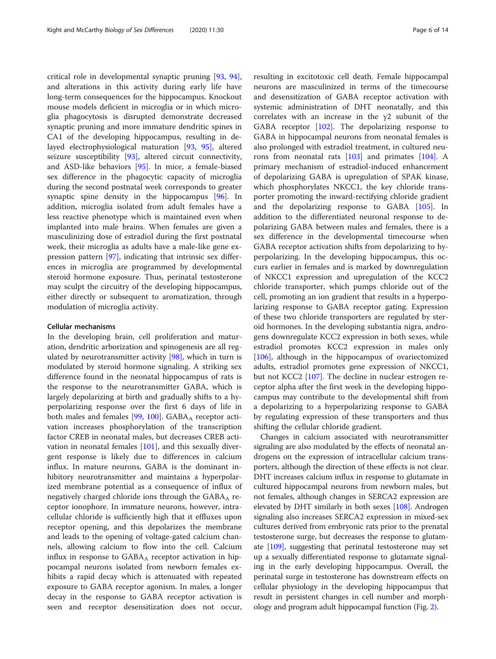critical role in developmental synaptic pruning [[93](#page-11-0), [94](#page-11-0)], and alterations in this activity during early life have long-term consequences for the hippocampus. Knockout mouse models deficient in microglia or in which microglia phagocytosis is disrupted demonstrate decreased synaptic pruning and more immature dendritic spines in CA1 of the developing hippocampus, resulting in delayed electrophysiological maturation [\[93,](#page-11-0) [95\]](#page-11-0), altered seizure susceptibility [[93\]](#page-11-0), altered circuit connectivity, and ASD-like behaviors [\[95](#page-11-0)]. In mice, a female-biased sex difference in the phagocytic capacity of microglia during the second postnatal week corresponds to greater synaptic spine density in the hippocampus [[96\]](#page-11-0). In addition, microglia isolated from adult females have a less reactive phenotype which is maintained even when implanted into male brains. When females are given a masculinizing dose of estradiol during the first postnatal week, their microglia as adults have a male-like gene expression pattern [\[97\]](#page-11-0), indicating that intrinsic sex differences in microglia are programmed by developmental steroid hormone exposure. Thus, perinatal testosterone may sculpt the circuitry of the developing hippocampus, either directly or subsequent to aromatization, through modulation of microglia activity.

## Cellular mechanisms

In the developing brain, cell proliferation and maturation, dendritic arborization and spinogenesis are all regulated by neurotransmitter activity [\[98\]](#page-11-0), which in turn is modulated by steroid hormone signaling. A striking sex difference found in the neonatal hippocampus of rats is the response to the neurotransmitter GABA, which is largely depolarizing at birth and gradually shifts to a hyperpolarizing response over the first 6 days of life in both males and females [[99,](#page-11-0) [100\]](#page-11-0).  $GABA_A$  receptor activation increases phosphorylation of the transcription factor CREB in neonatal males, but decreases CREB activation in neonatal females [\[101](#page-12-0)], and this sexually divergent response is likely due to differences in calcium influx. In mature neurons, GABA is the dominant inhibitory neurotransmitter and maintains a hyperpolarized membrane potential as a consequence of influx of negatively charged chloride ions through the  $GABA_A$  receptor ionophore. In immature neurons, however, intracellular chloride is sufficiently high that it effluxes upon receptor opening, and this depolarizes the membrane and leads to the opening of voltage-gated calcium channels, allowing calcium to flow into the cell. Calcium influx in response to  $GABA_A$  receptor activation in hippocampal neurons isolated from newborn females exhibits a rapid decay which is attenuated with repeated exposure to GABA receptor agonism. In males, a longer decay in the response to GABA receptor activation is seen and receptor desensitization does not occur, resulting in excitotoxic cell death. Female hippocampal neurons are masculinized in terms of the timecourse and desensitization of GABA receptor activation with systemic administration of DHT neonatally, and this correlates with an increase in the  $\gamma$ 2 subunit of the GABA receptor [[102\]](#page-12-0). The depolarizing response to GABA in hippocampal neurons from neonatal females is also prolonged with estradiol treatment, in cultured neurons from neonatal rats [[103\]](#page-12-0) and primates [\[104\]](#page-12-0). A primary mechanism of estradiol-induced enhancement of depolarizing GABA is upregulation of SPAK kinase, which phosphorylates NKCC1, the key chloride transporter promoting the inward-rectifying chloride gradient and the depolarizing response to GABA [\[105](#page-12-0)]. In addition to the differentiated neuronal response to depolarizing GABA between males and females, there is a sex difference in the developmental timecourse when GABA receptor activation shifts from depolarizing to hyperpolarizing. In the developing hippocampus, this occurs earlier in females and is marked by downregulation of NKCC1 expression and upregulation of the KCC2 chloride transporter, which pumps chloride out of the cell, promoting an ion gradient that results in a hyperpolarizing response to GABA receptor gating. Expression of these two chloride transporters are regulated by steroid hormones. In the developing substantia nigra, androgens downregulate KCC2 expression in both sexes, while estradiol promotes KCC2 expression in males only [[106\]](#page-12-0), although in the hippocampus of ovariectomized adults, estradiol promotes gene expression of NKCC1, but not KCC2 [[107](#page-12-0)]. The decline in nuclear estrogen receptor alpha after the first week in the developing hippocampus may contribute to the developmental shift from a depolarizing to a hyperpolarizing response to GABA by regulating expression of these transporters and thus shifting the cellular chloride gradient.

Changes in calcium associated with neurotransmitter signaling are also modulated by the effects of neonatal androgens on the expression of intracellular calcium transporters, although the direction of these effects is not clear. DHT increases calcium influx in response to glutamate in cultured hippocampal neurons from newborn males, but not females, although changes in SERCA2 expression are elevated by DHT similarly in both sexes [\[108\]](#page-12-0). Androgen signaling also increases SERCA2 expression in mixed-sex cultures derived from embryonic rats prior to the prenatal testosterone surge, but decreases the response to glutamate  $[109]$  $[109]$  $[109]$ , suggesting that perinatal testosterone may set up a sexually differentiated response to glutamate signaling in the early developing hippocampus. Overall, the perinatal surge in testosterone has downstream effects on cellular physiology in the developing hippocampus that result in persistent changes in cell number and morphology and program adult hippocampal function (Fig. [2\)](#page-6-0).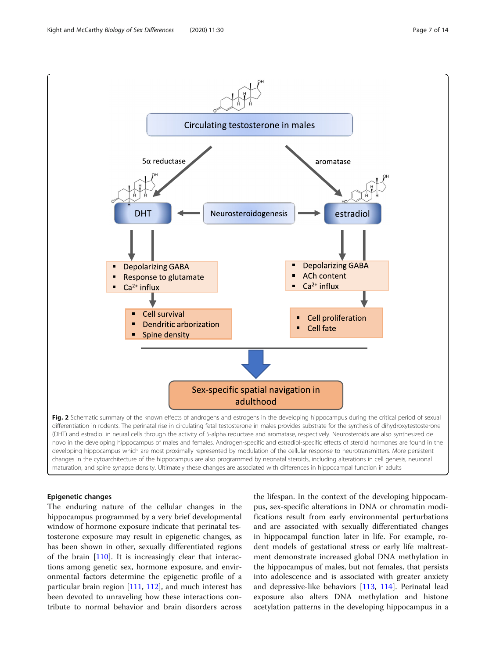<span id="page-6-0"></span>

## Epigenetic changes

The enduring nature of the cellular changes in the hippocampus programmed by a very brief developmental window of hormone exposure indicate that perinatal testosterone exposure may result in epigenetic changes, as has been shown in other, sexually differentiated regions of the brain [\[110](#page-12-0)]. It is increasingly clear that interactions among genetic sex, hormone exposure, and environmental factors determine the epigenetic profile of a particular brain region [[111](#page-12-0), [112](#page-12-0)], and much interest has been devoted to unraveling how these interactions contribute to normal behavior and brain disorders across

the lifespan. In the context of the developing hippocampus, sex-specific alterations in DNA or chromatin modifications result from early environmental perturbations and are associated with sexually differentiated changes in hippocampal function later in life. For example, rodent models of gestational stress or early life maltreatment demonstrate increased global DNA methylation in the hippocampus of males, but not females, that persists into adolescence and is associated with greater anxiety and depressive-like behaviors [\[113](#page-12-0), [114\]](#page-12-0). Perinatal lead exposure also alters DNA methylation and histone acetylation patterns in the developing hippocampus in a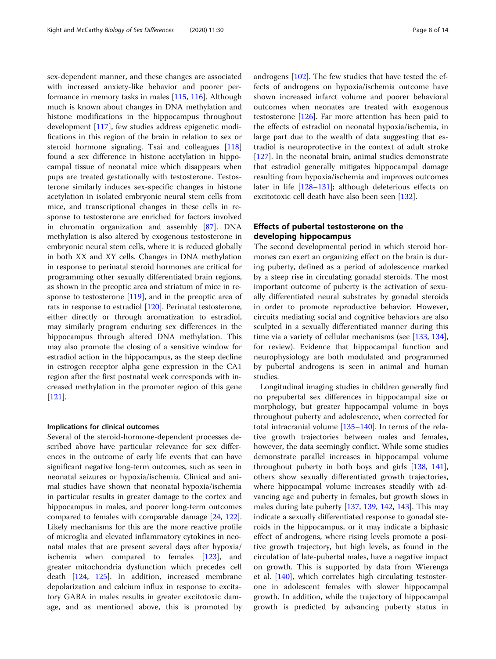sex-dependent manner, and these changes are associated with increased anxiety-like behavior and poorer performance in memory tasks in males [\[115,](#page-12-0) [116\]](#page-12-0). Although much is known about changes in DNA methylation and histone modifications in the hippocampus throughout development [[117](#page-12-0)], few studies address epigenetic modifications in this region of the brain in relation to sex or steroid hormone signaling. Tsai and colleagues [[118](#page-12-0)] found a sex difference in histone acetylation in hippocampal tissue of neonatal mice which disappears when pups are treated gestationally with testosterone. Testosterone similarly induces sex-specific changes in histone acetylation in isolated embryonic neural stem cells from mice, and transcriptional changes in these cells in response to testosterone are enriched for factors involved in chromatin organization and assembly [[87\]](#page-11-0). DNA methylation is also altered by exogenous testosterone in embryonic neural stem cells, where it is reduced globally in both XX and XY cells. Changes in DNA methylation in response to perinatal steroid hormones are critical for programming other sexually differentiated brain regions, as shown in the preoptic area and striatum of mice in response to testosterone [[119](#page-12-0)], and in the preoptic area of rats in response to estradiol [[120](#page-12-0)]. Perinatal testosterone, either directly or through aromatization to estradiol, may similarly program enduring sex differences in the hippocampus through altered DNA methylation. This may also promote the closing of a sensitive window for estradiol action in the hippocampus, as the steep decline in estrogen receptor alpha gene expression in the CA1 region after the first postnatal week corresponds with increased methylation in the promoter region of this gene [[121\]](#page-12-0).

## Implications for clinical outcomes

Several of the steroid-hormone-dependent processes described above have particular relevance for sex differences in the outcome of early life events that can have significant negative long-term outcomes, such as seen in neonatal seizures or hypoxia/ischemia. Clinical and animal studies have shown that neonatal hypoxia/ischemia in particular results in greater damage to the cortex and hippocampus in males, and poorer long-term outcomes compared to females with comparable damage [\[24](#page-10-0), [122](#page-12-0)]. Likely mechanisms for this are the more reactive profile of microglia and elevated inflammatory cytokines in neonatal males that are present several days after hypoxia/ ischemia when compared to females [[123](#page-12-0)], and greater mitochondria dysfunction which precedes cell death [[124,](#page-12-0) [125\]](#page-12-0). In addition, increased membrane depolarization and calcium influx in response to excitatory GABA in males results in greater excitotoxic damage, and as mentioned above, this is promoted by androgens [\[102\]](#page-12-0). The few studies that have tested the effects of androgens on hypoxia/ischemia outcome have shown increased infarct volume and poorer behavioral outcomes when neonates are treated with exogenous testosterone  $[126]$  $[126]$ . Far more attention has been paid to the effects of estradiol on neonatal hypoxia/ischemia, in large part due to the wealth of data suggesting that estradiol is neuroprotective in the context of adult stroke [[127\]](#page-12-0). In the neonatal brain, animal studies demonstrate that estradiol generally mitigates hippocampal damage resulting from hypoxia/ischemia and improves outcomes later in life [\[128](#page-12-0)–[131\]](#page-12-0); although deleterious effects on excitotoxic cell death have also been seen [\[132\]](#page-12-0).

# Effects of pubertal testosterone on the developing hippocampus

The second developmental period in which steroid hormones can exert an organizing effect on the brain is during puberty, defined as a period of adolescence marked by a steep rise in circulating gonadal steroids. The most important outcome of puberty is the activation of sexually differentiated neural substrates by gonadal steroids in order to promote reproductive behavior. However, circuits mediating social and cognitive behaviors are also sculpted in a sexually differentiated manner during this time via a variety of cellular mechanisms (see [[133](#page-12-0), [134](#page-12-0)], for review). Evidence that hippocampal function and neurophysiology are both modulated and programmed by pubertal androgens is seen in animal and human studies.

Longitudinal imaging studies in children generally find no prepubertal sex differences in hippocampal size or morphology, but greater hippocampal volume in boys throughout puberty and adolescence, when corrected for total intracranial volume [[135](#page-12-0)–[140](#page-12-0)]. In terms of the relative growth trajectories between males and females, however, the data seemingly conflict. While some studies demonstrate parallel increases in hippocampal volume throughout puberty in both boys and girls [[138,](#page-12-0) [141](#page-12-0)], others show sexually differentiated growth trajectories, where hippocampal volume increases steadily with advancing age and puberty in females, but growth slows in males during late puberty [[137](#page-12-0), [139,](#page-12-0) [142,](#page-12-0) [143\]](#page-12-0). This may indicate a sexually differentiated response to gonadal steroids in the hippocampus, or it may indicate a biphasic effect of androgens, where rising levels promote a positive growth trajectory, but high levels, as found in the circulation of late-pubertal males, have a negative impact on growth. This is supported by data from Wierenga et al. [\[140](#page-12-0)], which correlates high circulating testosterone in adolescent females with slower hippocampal growth. In addition, while the trajectory of hippocampal growth is predicted by advancing puberty status in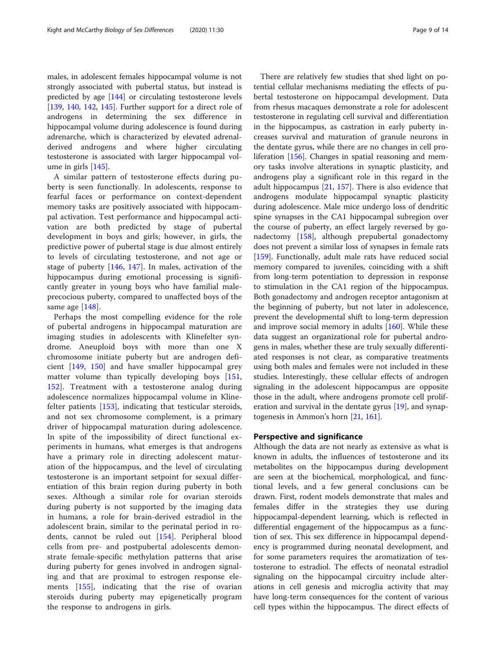males, in adolescent females hippocampal volume is not strongly associated with pubertal status, but instead is predicted by age [\[144\]](#page-12-0) or circulating testosterone levels [[139,](#page-12-0) [140,](#page-12-0) [142](#page-12-0), [145\]](#page-13-0). Further support for a direct role of androgens in determining the sex difference in hippocampal volume during adolescence is found during adrenarche, which is characterized by elevated adrenalderived androgens and where higher circulating testosterone is associated with larger hippocampal volume in girls [[145\]](#page-13-0).

A similar pattern of testosterone effects during puberty is seen functionally. In adolescents, response to fearful faces or performance on context-dependent memory tasks are positively associated with hippocampal activation. Test performance and hippocampal activation are both predicted by stage of pubertal development in boys and girls; however, in girls, the predictive power of pubertal stage is due almost entirely to levels of circulating testosterone, and not age or stage of puberty [[146,](#page-13-0) [147\]](#page-13-0). In males, activation of the hippocampus during emotional processing is significantly greater in young boys who have familial maleprecocious puberty, compared to unaffected boys of the same age [[148\]](#page-13-0).

Perhaps the most compelling evidence for the role of pubertal androgens in hippocampal maturation are imaging studies in adolescents with Klinefelter syndrome. Aneuploid boys with more than one X chromosome initiate puberty but are androgen deficient [[149,](#page-13-0) [150\]](#page-13-0) and have smaller hippocampal grey matter volume than typically developing boys [\[151](#page-13-0), [152\]](#page-13-0). Treatment with a testosterone analog during adolescence normalizes hippocampal volume in Klinefelter patients [[153\]](#page-13-0), indicating that testicular steroids, and not sex chromosome complement, is a primary driver of hippocampal maturation during adolescence. In spite of the impossibility of direct functional experiments in humans, what emerges is that androgens have a primary role in directing adolescent maturation of the hippocampus, and the level of circulating testosterone is an important setpoint for sexual differentiation of this brain region during puberty in both sexes. Although a similar role for ovarian steroids during puberty is not supported by the imaging data in humans, a role for brain-derived estradiol in the adolescent brain, similar to the perinatal period in rodents, cannot be ruled out [[154\]](#page-13-0). Peripheral blood cells from pre- and postpubertal adolescents demonstrate female-specific methylation patterns that arise during puberty for genes involved in androgen signaling and that are proximal to estrogen response elements [[155\]](#page-13-0), indicating that the rise of ovarian steroids during puberty may epigenetically program the response to androgens in girls.

There are relatively few studies that shed light on potential cellular mechanisms mediating the effects of pubertal testosterone on hippocampal development. Data from rhesus macaques demonstrate a role for adolescent testosterone in regulating cell survival and differentiation in the hippocampus, as castration in early puberty increases survival and maturation of granule neurons in the dentate gyrus, while there are no changes in cell proliferation [\[156](#page-13-0)]. Changes in spatial reasoning and memory tasks involve alterations in synaptic plasticity, and androgens play a significant role in this regard in the adult hippocampus [[21](#page-10-0), [157](#page-13-0)]. There is also evidence that androgens modulate hippocampal synaptic plasticity during adolescence. Male mice undergo loss of dendritic spine synapses in the CA1 hippocampal subregion over the course of puberty, an effect largely reversed by gonadectomy [[158](#page-13-0)], although prepubertal gonadectomy does not prevent a similar loss of synapses in female rats [[159\]](#page-13-0). Functionally, adult male rats have reduced social memory compared to juveniles, coinciding with a shift from long-term potentiation to depression in response to stimulation in the CA1 region of the hippocampus. Both gonadectomy and androgen receptor antagonism at the beginning of puberty, but not later in adolescence, prevent the developmental shift to long-term depression and improve social memory in adults [[160\]](#page-13-0). While these data suggest an organizational role for pubertal androgens in males, whether these are truly sexually differentiated responses is not clear, as comparative treatments using both males and females were not included in these studies. Interestingly, these cellular effects of androgen signaling in the adolescent hippocampus are opposite those in the adult, where androgens promote cell prolif-eration and survival in the dentate gyrus [[19\]](#page-10-0), and synaptogenesis in Ammon's horn [\[21,](#page-10-0) [161\]](#page-13-0).

## Perspective and significance

Although the data are not nearly as extensive as what is known in adults, the influences of testosterone and its metabolites on the hippocampus during development are seen at the biochemical, morphological, and functional levels, and a few general conclusions can be drawn. First, rodent models demonstrate that males and females differ in the strategies they use during hippocampal-dependent learning, which is reflected in differential engagement of the hippocampus as a function of sex. This sex difference in hippocampal dependency is programmed during neonatal development, and for some parameters requires the aromatization of testosterone to estradiol. The effects of neonatal estradiol signaling on the hippocampal circuitry include alterations in cell genesis and microglia activity that may have long-term consequences for the content of various cell types within the hippocampus. The direct effects of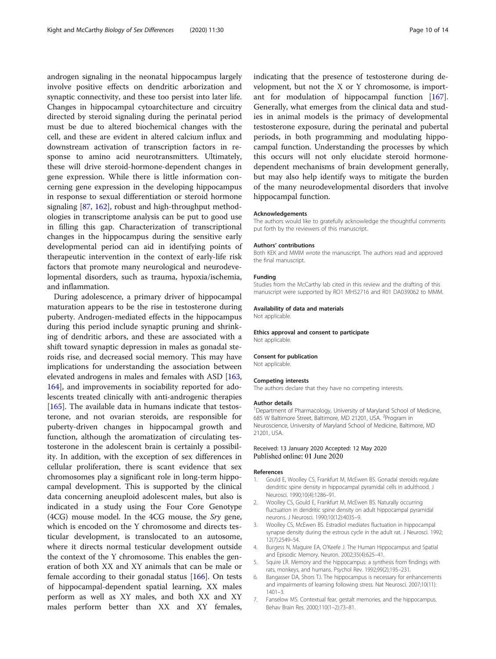<span id="page-9-0"></span>androgen signaling in the neonatal hippocampus largely involve positive effects on dendritic arborization and synaptic connectivity, and these too persist into later life. Changes in hippocampal cytoarchitecture and circuitry directed by steroid signaling during the perinatal period must be due to altered biochemical changes with the cell, and these are evident in altered calcium influx and downstream activation of transcription factors in response to amino acid neurotransmitters. Ultimately, these will drive steroid-hormone-dependent changes in gene expression. While there is little information concerning gene expression in the developing hippocampus in response to sexual differentiation or steroid hormone signaling [\[87,](#page-11-0) [162\]](#page-13-0), robust and high-throughput methodologies in transcriptome analysis can be put to good use in filling this gap. Characterization of transcriptional changes in the hippocampus during the sensitive early developmental period can aid in identifying points of therapeutic intervention in the context of early-life risk factors that promote many neurological and neurodevelopmental disorders, such as trauma, hypoxia/ischemia, and inflammation.

During adolescence, a primary driver of hippocampal maturation appears to be the rise in testosterone during puberty. Androgen-mediated effects in the hippocampus during this period include synaptic pruning and shrinking of dendritic arbors, and these are associated with a shift toward synaptic depression in males as gonadal steroids rise, and decreased social memory. This may have implications for understanding the association between elevated androgens in males and females with ASD [[163](#page-13-0), [164](#page-13-0)], and improvements in sociability reported for adolescents treated clinically with anti-androgenic therapies [[165\]](#page-13-0). The available data in humans indicate that testosterone, and not ovarian steroids, are responsible for puberty-driven changes in hippocampal growth and function, although the aromatization of circulating testosterone in the adolescent brain is certainly a possibility. In addition, with the exception of sex differences in cellular proliferation, there is scant evidence that sex chromosomes play a significant role in long-term hippocampal development. This is supported by the clinical data concerning aneuploid adolescent males, but also is indicated in a study using the Four Core Genotype (4CG) mouse model. In the 4CG mouse, the Sry gene, which is encoded on the Y chromosome and directs testicular development, is translocated to an autosome, where it directs normal testicular development outside the context of the Y chromosome. This enables the generation of both XX and XY animals that can be male or female according to their gonadal status  $[166]$  $[166]$  $[166]$ . On tests of hippocampal-dependent spatial learning, XX males perform as well as XY males, and both XX and XY males perform better than XX and XY females, indicating that the presence of testosterone during development, but not the X or Y chromosome, is important for modulation of hippocampal function [[167](#page-13-0)]. Generally, what emerges from the clinical data and studies in animal models is the primacy of developmental testosterone exposure, during the perinatal and pubertal periods, in both programming and modulating hippocampal function. Understanding the processes by which this occurs will not only elucidate steroid hormonedependent mechanisms of brain development generally, but may also help identify ways to mitigate the burden of the many neurodevelopmental disorders that involve hippocampal function.

#### Acknowledgements

The authors would like to gratefully acknowledge the thoughtful comments put forth by the reviewers of this manuscript.

#### Authors' contributions

Both KEK and MMM wrote the manuscript. The authors read and approved the final manuscript.

#### Funding

Studies from the McCarthy lab cited in this review and the drafting of this manuscript were supported by RO1 MH52716 and R01 DA039062 to MMM.

#### Availability of data and materials

Not applicable.

#### Ethics approval and consent to participate Not applicable.

#### Consent for publication

Not applicable.

#### Competing interests

The authors declare that they have no competing interests.

#### Author details

<sup>1</sup>Department of Pharmacology, University of Maryland School of Medicine 685 W Baltimore Street, Baltimore, MD 21201, USA. <sup>2</sup>Program in Neuroscience, University of Maryland School of Medicine, Baltimore, MD 21201, USA.

## Received: 13 January 2020 Accepted: 12 May 2020 Published online: 01 June 2020

#### References

- 1. Gould E, Woolley CS, Frankfurt M, McEwen BS. Gonadal steroids regulate dendritic spine density in hippocampal pyramidal cells in adulthood. J Neurosci. 1990;10(4):1286–91.
- 2. Woolley CS, Gould E, Frankfurt M, McEwen BS. Naturally occurring fluctuation in dendritic spine density on adult hippocampal pyramidal neurons. J Neurosci. 1990;10(12):4035–9.
- 3. Woolley CS, McEwen BS. Estradiol mediates fluctuation in hippocampal synapse density during the estrous cycle in the adult rat. J Neurosci. 1992; 12(7):2549–54.
- 4. Burgess N, Maguire EA, O'Keefe J. The Human Hippocampus and Spatial and Episodic Memory. Neuron. 2002;35(4):625–41.
- 5. Squire LR. Memory and the hippocampus: a synthesis from findings with rats, monkeys, and humans. Psychol Rev. 1992;99(2):195–231.
- 6. Bangasser DA, Shors TJ. The hippocampus is necessary for enhancements and impairments of learning following stress. Nat Neurosci. 2007;10(11): 1401–3.
- 7. Fanselow MS. Contextual fear, gestalt memories, and the hippocampus. Behav Brain Res. 2000;110(1–2):73–81.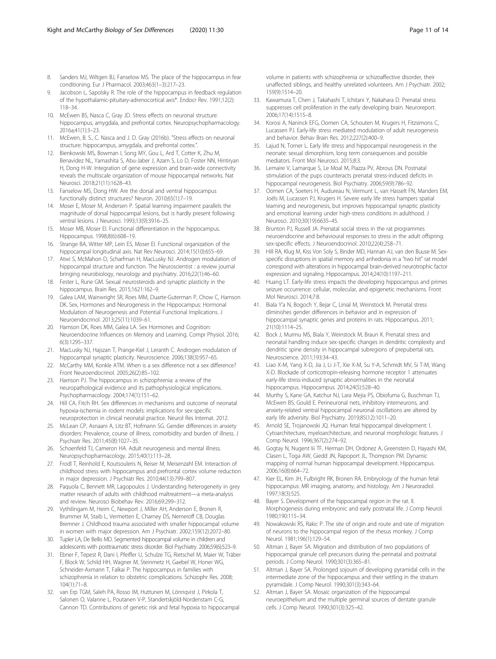- <span id="page-10-0"></span>8. Sanders MJ, Wiltgen BJ, Fanselow MS. The place of the hippocampus in fear conditioning. Eur J Pharmacol. 2003;463(1–3):217–23.
- 9. Jacobson L, Sapolsky R. The role of the hippocampus in feedback regulation of the hypothalamic-pituitary-adrenocortical axis\*. Endocr Rev. 1991;12(2): 118–34.
- 10. McEwen BS, Nasca C, Gray JD. Stress effects on neuronal structure: hippocampus, amygdala, and prefrontal cortex. Neuropsychopharmacology. 2016a;41(1):3–23.
- 11. McEwen, B. S., C. Nasca and J. D. Gray (2016b). "Stress effects on neuronal structure: hippocampus, amygdala, and prefrontal cortex.".
- 12. Bienkowski MS, Bowman I, Song MY, Gou L, Ard T, Cotter K, Zhu M, Benavidez NL, Yamashita S, Abu-Jaber J, Azam S, Lo D, Foster NN, Hintiryan H, Dong H-W. Integration of gene expression and brain-wide connectivity reveals the multiscale organization of mouse hippocampal networks. Nat Neurosci. 2018;21(11):1628–43.
- 13. Fanselow MS, Dong HW. Are the dorsal and ventral hippocampus functionally distinct structures? Neuron. 2010;65(1):7–19.
- 14. Moser E, Moser M, Andersen P. Spatial learning impairment parallels the magnitude of dorsal hippocampal lesions, but is hardly present following ventral lesions. J Neurosci. 1993;13(9):3916–25.
- 15. Moser MB, Moser EI. Functional differentiation in the hippocampus. Hippocampus. 1998;8(6):608–19.
- 16. Strange BA, Witter MP, Lein ES, Moser EI. Functional organization of the hippocampal longitudinal axis. Nat Rev Neurosci. 2014;15(10):655–69.
- 17. Atwi S, McMahon D, Scharfman H, MacLusky NJ. Androgen modulation of hippocampal structure and function. The Neuroscientist : a review journal bringing neurobiology, neurology and psychiatry. 2016;22(1):46–60.
- 18. Fester L, Rune GM. Sexual neurosteroids and synaptic plasticity in the hippocampus. Brain Res. 2015;1621:162–9.
- 19. Galea LAM, Wainwright SR, Roes MM, Duarte-Guterman P, Chow C, Hamson DK. Sex, Hormones and Neurogenesis in the Hippocampus: Hormonal Modulation of Neurogenesis and Potential Functional Implications. J Neuroendocrinol. 2013;25(11):1039–61.
- 20. Hamson DK, Roes MM, Galea LA. Sex Hormones and Cognition: Neuroendocrine Influences on Memory and Learning. Compr Physiol. 2016; 6(3):1295–337.
- 21. MacLusky NJ, Hajszan T, Prange-Kiel J, Leranth C. Androgen modulation of hippocampal synaptic plasticity. Neuroscience. 2006;138(3):957–65.
- 22. McCarthy MM, Konkle ATM. When is a sex difference not a sex difference? Front Neuroendocrinol. 2005;26(2):85–102.
- 23. Harrison PJ. The hippocampus in schizophrenia: a review of the neuropathological evidence and its pathophysiological implications. Psychopharmacology. 2004;174(1):151–62.
- 24. Hill CA, Fitch RH. Sex differences in mechanisms and outcome of neonatal hypoxia-ischemia in rodent models: implications for sex-specific neuroprotection in clinical neonatal practice. Neurol Res Internat. 2012.
- 25. McLean CP, Asnaani A, Litz BT, Hofmann SG. Gender differences in anxiety disorders: Prevalence, course of illness, comorbidity and burden of illness. J Psychiatr Res. 2011;45(8):1027–35.
- 26. Schoenfeld TJ, Cameron HA. Adult neurogenesis and mental illness. Neuropsychopharmacology. 2015;40(1):113–28.
- 27. Frodl T, Reinhold E, Koutsouleris N, Reiser M, Meisenzahl EM. Interaction of childhood stress with hippocampus and prefrontal cortex volume reduction in major depression. J Psychiatr Res. 2010;44(13):799–807.
- 28. Paquola C, Bennett MR, Lagopoulos J. Understanding heterogeneity in grey matter research of adults with childhood maltreatment—a meta-analysis and review. Neurosci Biobehav Rev. 2016;69:299–312.
- 29. Vythilingam M, Heim C, Newport J, Miller AH, Anderson E, Bronen R, Brummer M, Staib L, Vermetten E, Charney DS, Nemeroff CB, Douglas Bremner J. Childhood trauma associated with smaller hippocampal volume in women with major depression. Am J Psychiatr. 2002;159(12):2072–80.
- 30. Tupler LA, De Bellis MD. Segmented hippocampal volume in children and adolescents with posttraumatic stress disorder. Biol Psychiatry. 2006;59(6):523–9.
- 31. Ebner F, Tepest R, Dani I, Pfeiffer U, Schulze TG, Rietschel M, Maier W, Träber F, Block W, Schild HH, Wagner M, Steinmetz H, Gaebel W, Honer WG, Schneider-Axmann T, Falkai P. The hippocampus in families with schizophrenia in relation to obstetric complications. Schizophr Res. 2008; 104(1):71–8.
- 32. van Erp TGM, Saleh PA, Rosso IM, Huttunen M, Lönnqvist J, Pirkola T, Salonen O, Valanne L, Poutanen V-P, Standertskjöld-Nordenstam C-G, Cannon TD. Contributions of genetic risk and fetal hypoxia to hippocampal

volume in patients with schizophrenia or schizoaffective disorder, their unaffected siblings, and healthy unrelated volunteers. Am J Psychiatr. 2002; 159(9):1514–20.

- 33. Kawamura T, Chen J, Takahashi T, Ichitani Y, Nakahara D. Prenatal stress suppresses cell proliferation in the early developing brain. Neuroreport. 2006;17(14):1515–8.
- 34. Korosi A, Naninck EFG, Oomen CA, Schouten M, Krugers H, Fitzsimons C, Lucassen PJ. Early-life stress mediated modulation of adult neurogenesis and behavior. Behav Brain Res. 2012;227(2):400–9.
- 35. Lajud N, Torner L. Early life stress and hippocampal neurogenesis in the neonate: sexual dimorphism, long term consequences and possible mediators. Front Mol Neurosci. 2015;8:3.
- 36. Lemaire V, Lamarque S, Le Moal M, Piazza PV, Abrous DN. Postnatal stimulation of the pups counteracts prenatal stress-induced deficits in hippocampal neurogenesis. Biol Psychiatry. 2006;59(9):786–92.
- 37. Oomen CA, Soeters H, Audureau N, Vermunt L, van Hasselt FN, Manders EM, Joëls M, Lucassen PJ, Krugers H. Severe early life stress hampers spatial learning and neurogenesis, but improves hippocampal synaptic plasticity and emotional learning under high-stress conditions in adulthood. J Neurosci. 2010;30(19):6635–45.
- 38. Brunton PJ, Russell JA. Prenatal social stress in the rat programmes neuroendocrine and behavioural responses to stress in the adult offspring: sex-specific effects. J Neuroendocrinol. 2010;22(4):258–71.
- 39. Hill RA, Klug M, Kiss Von Soly S, Binder MD, Hannan AJ, van den Buuse M. Sexspecific disruptions in spatial memory and anhedonia in a "two hit" rat model correspond with alterations in hippocampal brain-derived neurotrophic factor expression and signaling. Hippocampus. 2014;24(10):1197–211.
- 40. Huang LT. Early-life stress impacts the developing hippocampus and primes seizure occurrence: cellular, molecular, and epigenetic mechanisms. Front Mol Neurosci. 2014;7:8.
- 41. Biala Y'a N, Bogoch Y, Bejar C, Linial M, Weinstock M. Prenatal stress diminishes gender differences in behavior and in expression of hippocampal synaptic genes and proteins in rats. Hippocampus. 2011; 21(10):1114–25.
- 42. Bock J, Murmu MS, Biala Y, Weinstock M, Braun K. Prenatal stress and neonatal handling induce sex-specific changes in dendritic complexity and dendritic spine density in hippocampal subregions of prepubertal rats. Neuroscience. 2011;193:34–43.
- 43. Liao X-M, Yang X-D, Jia J, Li J-T, Xie X-M, Su Y-A, Schmidt MV, Si T-M, Wang X-D. Blockade of corticotropin-releasing hormone receptor 1 attenuates early-life stress-induced synaptic abnormalities in the neonatal hippocampus. Hippocampus. 2014;24(5):528–40.
- 44. Murthy S, Kane GA, Katchur NJ, Lara Mejia PS, Obiofuma G, Buschman TJ, McEwen BS, Gould E. Perineuronal nets, inhibitory interneurons, and anxiety-related ventral hippocampal neuronal oscillations are altered by early life adversity. Biol Psychiatry. 2019;85(12):1011–20.
- 45. Arnold SE, Trojanowski JQ. Human fetal hippocampal development: I. Cytoarchitecture, myeloarchitecture, and neuronal morphologic features. J Comp Neurol. 1996;367(2):274–92.
- 46. Gogtay N, Nugent Iii TF, Herman DH, Ordonez A, Greenstein D, Hayashi KM, Clasen L, Toga AW, Giedd JN, Rapoport JL, Thompson PM. Dynamic mapping of normal human hippocampal development. Hippocampus. 2006;16(8):664–72.
- 47. Kier EL, Kim JH, Fulbright RK, Bronen RA. Embryology of the human fetal hippocampus: MR imaging, anatomy, and histology. Am J Neuroradiol. 1997;18(3):525.
- 48. Bayer S. Development of the hippocampal region in the rat. II. Morphogenesis during embryonic and early postnatal life. J Comp Neurol. 1980;190:115–34.
- 49. Nowakowski RS, Rakic P. The site of origin and route and rate of migration of neurons to the hippocampal region of the rhesus monkey. J Comp Neurol. 1981;196(1):129–54.
- 50. Altman J, Bayer SA. Migration and distribution of two populations of hippocampal granule cell precursors during the perinatal and postnatal periods. J Comp Neurol. 1990;301(3):365–81.
- 51. Altman J, Bayer SA. Prolonged sojourn of developing pyramidal cells in the intermediate zone of the hippocampus and their settling in the stratum pyramidale. J Comp Neurol. 1990;301(3):343–64.
- 52. Altman J, Bayer SA. Mosaic organization of the hippocampal neuroepithelium and the multiple germinal sources of dentate granule cells. J Comp Neurol. 1990;301(3):325–42.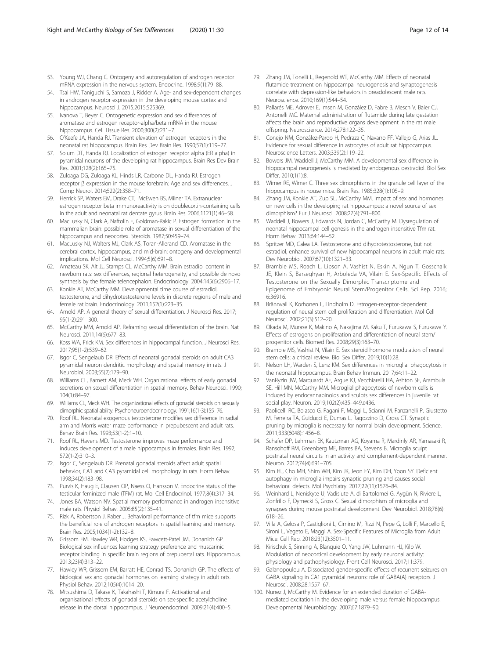- <span id="page-11-0"></span>53. Young WJ, Chang C. Ontogeny and autoregulation of androgen receptor mRNA expression in the nervous system. Endocrine. 1998;9(1):79–88.
- 54. Tsai HW, Taniguchi S, Samoza J, Ridder A. Age- and sex-dependent changes in androgen receptor expression in the developing mouse cortex and hippocampus. Neurosci J. 2015;2015:525369.
- 55. Ivanova T, Beyer C. Ontogenetic expression and sex differences of aromatase and estrogen receptor-alpha/beta mRNA in the mouse hippocampus. Cell Tissue Res. 2000;300(2):231–7.
- 56. O'Keefe JA, Handa RJ. Transient elevation of estrogen receptors in the neonatal rat hippocampus. Brain Res Dev Brain Res. 1990;57(1):119–27.
- 57. Solum DT, Handa RJ. Localization of estrogen receptor alpha (ER alpha) in pyramidal neurons of the developing rat hippocampus. Brain Res Dev Brain Res. 2001;128(2):165–75.
- 58. Zuloaga DG, Zuloaga KL, Hinds LR, Carbone DL, Handa RJ. Estrogen receptor β expression in the mouse forebrain: Age and sex differences. J Comp Neurol. 2014;522(2):358–71.
- 59. Herrick SP, Waters EM, Drake CT, McEwen BS, Milner TA. Extranuclear estrogen receptor beta immunoreactivity is on doublecortin-containing cells in the adult and neonatal rat dentate gyrus. Brain Res. 2006;1121(1):46–58.
- 60. MacLusky N, Clark A, Naftolin F, Goldman-Rakic P. Estrogen formation in the mammalian brain: possible role of aromatase in sexual differentiation of the hippocampus and neocortex. Steroids. 1987;50:459–74.
- 61. MacLusky NJ, Walters MJ, Clark AS, Toran-Allerand CD. Aromatase in the cerebral cortex, hippocampus, and mid-brain: ontogeny and developmental implications. Mol Cell Neurosci. 1994;5(6):691–8.
- 62. Amateau SK, Alt JJ, Stamps CL, McCarthy MM. Brain estradiol content in newborn rats: sex differences, regional heterogeneity, and possible de novo synthesis by the female telencephalon. Endocrinology. 2004;145(6):2906–17.
- 63. Konkle AT, McCarthy MM. Developmental time course of estradiol, testosterone, and dihydrotestosterone levels in discrete regions of male and female rat brain. Endocrinology. 2011;152(1):223–35.
- 64. Arnold AP. A general theory of sexual differentiation. J Neurosci Res. 2017; 95(1-2):291–300.
- 65. McCarthy MM, Arnold AP. Reframing sexual differentiation of the brain. Nat Neurosci. 2011;14(6):677–83.
- 66. Koss WA, Frick KM. Sex differences in hippocampal function. J Neurosci Res. 2017;95(1-2):539–62.
- 67. Isgor C, Sengelaub DR. Effects of neonatal gonadal steroids on adult CA3 pyramidal neuron dendritic morphology and spatial memory in rats. J Neurobiol. 2003;55(2):179–90.
- 68. Williams CL, Barnett AM, Meck WH. Organizational effects of early gonadal secretions on sexual differentiation in spatial memory. Behav Neurosci. 1990; 104(1):84–97.
- 69. Williams CL, Meck WH. The organizational effects of gonadal steroids on sexually dimorphic spatial ability. Psychoneuroendocrinology. 1991;16(1-3):155–76.
- 70. Roof RL. Neonatal exogenous testosterone modifies sex difference in radial arm and Morris water maze performance in prepubescent and adult rats. Behav Brain Res. 1993;53(1-2):1–10.
- 71. Roof RL, Havens MD. Testosterone improves maze performance and induces development of a male hippocampus in females. Brain Res. 1992; 572(1-2):310–3.
- 72. Isgor C, Sengelaub DR. Prenatal gonadal steroids affect adult spatial behavior, CA1 and CA3 pyramidal cell morphology in rats. Horm Behav. 1998;34(2):183–98.
- 73. Purvis K, Haug E, Clausen OP, Naess O, Hansson V. Endocrine status of the testicular feminized male (TFM) rat. Mol Cell Endocrinol. 1977;8(4):317–34.
- 74. Jones BA, Watson NV. Spatial memory performance in androgen insensitive male rats. Physiol Behav. 2005;85(2):135–41.
- 75. Rizk A, Robertson J, Raber J. Behavioral performance of tfm mice supports the beneficial role of androgen receptors in spatial learning and memory. Brain Res. 2005;1034(1-2):132–8.
- 76. Grissom EM, Hawley WR, Hodges KS, Fawcett-Patel JM, Dohanich GP. Biological sex influences learning strategy preference and muscarinic receptor binding in specific brain regions of prepubertal rats. Hippocampus. 2013;23(4):313–22.
- 77. Hawley WR, Grissom EM, Barratt HE, Conrad TS, Dohanich GP. The effects of biological sex and gonadal hormones on learning strategy in adult rats. Physiol Behav. 2012;105(4):1014–20.
- 78. Mitsushima D, Takase K, Takahashi T, Kimura F. Activational and organisational effects of gonadal steroids on sex-specific acetylcholine release in the dorsal hippocampus. J Neuroendocrinol. 2009;21(4):400–5.
- 79. Zhang JM, Tonelli L, Regenold WT, McCarthy MM. Effects of neonatal flutamide treatment on hippocampal neurogenesis and synaptogenesis correlate with depression-like behaviors in preadolescent male rats. Neuroscience. 2010;169(1):544–54.
- 80. Pallarés ME, Adrover E, Imsen M, González D, Fabre B, Mesch V, Baier CJ, Antonelli MC. Maternal administration of flutamide during late gestation affects the brain and reproductive organs development in the rat male offspring. Neuroscience. 2014;278:122–35.
- 81. Conejo NM, González-Pardo H, Pedraza C, Navarro FF, Vallejo G, Arias JL. Evidence for sexual difference in astrocytes of adult rat hippocampus. Neuroscience Letters. 2003;339(2):119–22.
- 82. Bowers JM, Waddell J, McCarthy MM. A developmental sex difference in hippocampal neurogenesis is mediated by endogenous oestradiol. Biol Sex Differ. 2010;1(1):8.
- 83. Wimer RE, Wimer C. Three sex dimorphisms in the granule cell layer of the hippocampus in house mice. Brain Res. 1985;328(1):105–9.
- 84. Zhang JM, Konkle AT, Zup SL, McCarthy MM. Impact of sex and hormones on new cells in the developing rat hippocampus: a novel source of sex dimorphism? Eur J Neurosci. 2008;27(4):791–800.
- 85. Waddell J, Bowers J, Edwards N, Jordan C, McCarthy M. Dysregulation of neonatal hippocampal cell genesis in the androgen insensitive Tfm rat. Horm Behav. 2013;64:144–52.
- 86. Spritzer MD, Galea LA. Testosterone and dihydrotestosterone, but not estradiol, enhance survival of new hippocampal neurons in adult male rats. Dev Neurobiol. 2007;67(10):1321–33.
- 87. Bramble MS, Roach L, Lipson A, Vashist N, Eskin A, Ngun T, Gosschalk JE, Klein S, Barseghyan H, Arboleda VA, Vilain E. Sex-Specific Effects of Testosterone on the Sexually Dimorphic Transcriptome and Epigenome of Embryonic Neural Stem/Progenitor Cells. Sci Rep. 2016; 6:36916.
- 88. Brännvall K, Korhonen L, Lindholm D. Estrogen-receptor-dependent regulation of neural stem cell proliferation and differentiation. Mol Cell Neurosci. 2002;21(3):512–20.
- 89. Okada M, Murase K, Makino A, Nakajima M, Kaku T, Furukawa S, Furukawa Y. Effects of estrogens on proliferation and differentiation of neural stem/ progenitor cells. Biomed Res. 2008;29(3):163–70.
- 90. Bramble MS, Vashist N, Vilain E. Sex steroid hormone modulation of neural stem cells: a critical review. Biol Sex Differ. 2019;10(1):28.
- 91. Nelson LH, Warden S, Lenz KM. Sex differences in microglial phagocytosis in the neonatal hippocampus. Brain Behav Immun. 2017;64:11–22.
- 92. VanRyzin JW, Marquardt AE, Argue KJ, Vecchiarelli HA, Ashton SE, Arambula SE, Hill MN, McCarthy MM. Microglial phagocytosis of newborn cells is induced by endocannabinoids and sculpts sex differences in juvenile rat social play. Neuron. 2019;102(2):435–449.e436.
- 93. Paolicelli RC, Bolasco G, Pagani F, Maggi L, Scianni M, Panzanelli P, Giustetto M, Ferreira TA, Guiducci E, Dumas L, Ragozzino D, Gross CT. Synaptic pruning by microglia is necessary for normal brain development. Science. 2011;333(6048):1456–8.
- 94. Schafer DP, Lehrman EK, Kautzman AG, Koyama R, Mardinly AR, Yamasaki R, Ransohoff RM, Greenberg ME, Barres BA, Stevens B. Microglia sculpt postnatal neural circuits in an activity and complement-dependent manner. Neuron. 2012;74(4):691–705.
- 95. Kim HJ, Cho MH, Shim WH, Kim JK, Jeon EY, Kim DH, Yoon SY. Deficient autophagy in microglia impairs synaptic pruning and causes social behavioral defects. Mol Psychiatry. 2017;22(11):1576–84.
- 96. Weinhard L, Neniskyte U, Vadisiute A, di Bartolomei G, Aygün N, Riviere L, Zonfrillo F, Dymecki S, Gross C. Sexual dimorphism of microglia and synapses during mouse postnatal development. Dev Neurobiol. 2018;78(6): 618–26.
- 97. Villa A, Gelosa P, Castiglioni L, Cimino M, Rizzi N, Pepe G, Lolli F, Marcello E, Sironi L, Vegeto E, Maggi A. Sex-Specific Features of Microglia from Adult Mice. Cell Rep. 2018;23(12):3501–11.
- 98. Kirischuk S, Sinning A, Blanquie O, Yang JW, Luhmann HJ, Kilb W. Modulation of neocortical development by early neuronal activity: physiology and pathophysiology. Front Cell Neurosci. 2017;11:379.
- 99. Galanopoulou A. Dissociated gender-specific effects of recurrent seizures on GABA signaling in CA1 pyramidal neurons: role of GABA(A) receptors. J Neurosci. 2008;28:1557–67.
- 100. Nunez J, McCarthy M. Evidence for an extended duration of GABAmediated excitation in the developing male versus female hippocampus. Developmental Neurobiology. 2007;67:1879–90.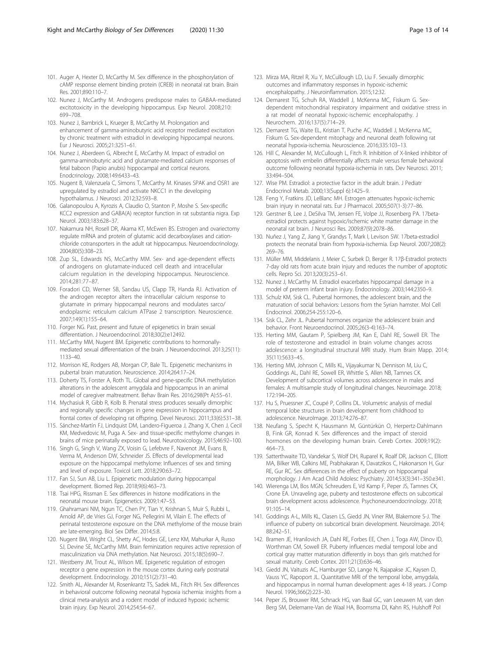- <span id="page-12-0"></span>101. Auger A, Hexter D, McCarthy M. Sex difference in the phosphorylation of cAMP response element binding protein (CREB) in neonatal rat brain. Brain Res. 2001;890:110–7.
- 102. Nunez J, McCarthy M. Androgens predispose males to GABAA-mediated excitotoxicity in the developing hippocampus. Exp Neurol. 2008;210: 699–708.
- 103. Nunez J, Bambrick L, Krueger B, McCarthy M. Prolongation and enhancement of gamma-aminobutyric acid receptor mediated excitation by chronic treatment with estradiol in developing hippocampal neurons. Eur J Neurosci. 2005;21:3251–61.
- 104. Nunez J, Aberdeen G, Albrecht E, McCarthy M. Impact of estradiol on gamma-aminobutyric acid and glutamate-mediated calcium responses of fetal baboon (Papio anubis) hippocampal and cortical neurons. Enodcrinology. 2008;149:6433–43.
- 105. Nugent B, Valenzuela C, Simons T, McCarthy M. Kinases SPAK and OSR1 are upregulated by estradiol and activate NKCC1 in the developing hypothalamus. J Neurosci. 2012;32:593–8.
- 106. Galanopoulou A, Kyrozis A, Claudio O, Stanton P, Moshe S. Sex-specific KCC2 expression and GABA(A) receptor function in rat substantia nigra. Exp Neurol. 2003;183:628–37.
- 107. Nakamura NH, Rosell DR, Akama KT, McEwen BS. Estrogen and ovariectomy regulate mRNA and protein of glutamic acid decarboxylases and cationchloride cotransporters in the adult rat hippocampus. Neuroendocrinology. 2004;80(5):308–23.
- 108. Zup SL, Edwards NS, McCarthy MM. Sex- and age-dependent effects of androgens on glutamate-induced cell death and intracellular calcium regulation in the developing hippocampus. Neuroscience. 2014;281:77–87.
- 109. Foradori CD, Werner SB, Sandau US, Clapp TR, Handa RJ. Activation of the androgen receptor alters the intracellular calcium response to glutamate in primary hippocampal neurons and modulates sarco/ endoplasmic reticulum calcium ATPase 2 transcription. Neuroscience. 2007;149(1):155–64.
- 110. Forger NG. Past, present and future of epigenetics in brain sexual differentiation. J Neuroendocrinol. 2018;30(2):e12492.
- 111. McCarthy MM, Nugent BM. Epigenetic contributions to hormonallymediated sexual differentiation of the brain. J Neuroendocrinol. 2013;25(11): 1133–40.
- 112. Morrison KE, Rodgers AB, Morgan CP, Bale TL. Epigenetic mechanisms in pubertal brain maturation. Neuroscience. 2014;264:17–24.
- 113. Doherty TS, Forster A, Roth TL. Global and gene-specific DNA methylation alterations in the adolescent amygdala and hippocampus in an animal model of caregiver maltreatment. Behav Brain Res. 2016;298(Pt A):55–61.
- 114. Mychasiuk R, Gibb R, Kolb B. Prenatal stress produces sexually dimorphic and regionally specific changes in gene expression in hippocampus and frontal cortex of developing rat offspring. Devel Neurosci. 2011;33(6):531–38.
- 115. Sánchez-Martín FJ, Lindquist DM, Landero-Figueroa J, Zhang X, Chen J, Cecil KM, Medvedovic M, Puga A. Sex- and tissue-specific methylome changes in brains of mice perinatally exposed to lead. Neurotoxicology. 2015;46:92–100.
- 116. Singh G, Singh V, Wang ZX, Voisin G, Lefebvre F, Navenot JM, Evans B, Verma M, Anderson DW, Schneider JS. Effects of developmental lead exposure on the hippocampal methylome: Influences of sex and timing and level of exposure. Toxicol Lett. 2018;290:63–72.
- 117. Fan SJ, Sun AB, Liu L. Epigenetic modulation during hippocampal development. Biomed Rep. 2018;9(6):463–73.
- 118. Tsai HPG, Rissman E. Sex differences in histone modifications in the neonatal mouse brain. Epigenetics. 2009;1:47–53.
- 119. Ghahramani NM, Ngun TC, Chen PY, Tian Y, Krishnan S, Muir S, Rubbi L, Arnold AP, de Vries GJ, Forger NG, Pellegrini M, Vilain E. The effects of perinatal testosterone exposure on the DNA methylome of the mouse brain are late-emerging. Biol Sex Differ. 2014;5:8.
- 120. Nugent BM, Wright CL, Shetty AC, Hodes GE, Lenz KM, Mahurkar A, Russo SJ, Devine SE, McCarthy MM. Brain feminization requires active repression of masculinization via DNA methylation. Nat Neurosci. 2015;18(5):690–7.
- 121. Westberry JM, Trout AL, Wilson ME. Epigenetic regulation of estrogen receptor α gene expression in the mouse cortex during early postnatal development. Endocrinology. 2010;151(2):731–40.
- 122. Smith AL, Alexander M, Rosenkrantz TS, Sadek ML, Fitch RH. Sex differences in behavioral outcome following neonatal hypoxia ischemia: insights from a clinical meta-analysis and a rodent model of induced hypoxic ischemic brain injury. Exp Neurol. 2014;254:54–67.
- 123. Mirza MA, Ritzel R, Xu Y, McCullough LD, Liu F. Sexually dimorphic outcomes and inflammatory responses in hypoxic-ischemic encephalopathy. J Neuroinflammation. 2015;12:32.
- 124. Demarest TG, Schuh RA, Waddell J, McKenna MC, Fiskum G. Sexdependent mitochondrial respiratory impairment and oxidative stress in a rat model of neonatal hypoxic-ischemic encephalopathy. J Neurochem. 2016;137(5):714–29.
- 125. Demarest TG, Waite EL, Kristian T, Puche AC, Waddell J, McKenna MC, Fiskum G. Sex-dependent mitophagy and neuronal death following rat neonatal hypoxia-ischemia. Neuroscience. 2016;335:103–13.
- 126. Hill C, Alexander M, McCullough L, Fitch R. Inhibition of X-linked inhibitor of apoptosis with embelin differentially affects male versus female behavioral outcome following neonatal hypoxia-ischemia in rats. Dev Neurosci. 2011; 33:494–504.
- 127. Wise PM. Estradiol: a protective factor in the adult brain. J Pediatr Endocrinol Metab. 2000;13(Suppl 6):1425–9.
- 128. Feng Y, Fratkins JD, LeBlanc MH. Estrogen attenuates hypoxic-ischemic brain injury in neonatal rats. Eur J Pharmacol. 2005;507(1-3):77–86.
- 129. Gerstner B, Lee J, DeSilva TM, Jensen FE, Volpe JJ, Rosenberg PA. 17betaestradiol protects against hypoxic/ischemic white matter damage in the neonatal rat brain. J Neurosci Res. 2009;87(9):2078–86.
- 130. Nuñez J, Yang Z, Jiang Y, Grandys T, Mark I, Levison SW. 17beta-estradiol protects the neonatal brain from hypoxia-ischemia. Exp Neurol. 2007;208(2): 269–76.
- 131. Müller MM, Middelanis J, Meier C, Surbek D, Berger R. 17β-Estradiol protects 7-day old rats from acute brain injury and reduces the number of apoptotic cells. Repro Sci. 2013;20(3):253–61.
- 132. Nunez J, McCarthy M. Estradiol exacerbates hippocampal damage in a model of preterm infant brain injury. Endocrinology. 2003;144:2350–9.
- 133. Schulz KM, Sisk CL. Pubertal hormones, the adolescent brain, and the maturation of social behaviors: Lessons from the Syrian hamster. Mol Cell Endocrinol. 2006;254-255:120–6.
- 134. Sisk CL, Zehr JL. Pubertal hormones organize the adolescent brain and behavior. Front Neuroendocrinol. 2005;26(3-4):163–74.
- 135. Herting MM, Gautam P, Spielberg JM, Kan E, Dahl RE, Sowell ER. The role of testosterone and estradiol in brain volume changes across adolescence: a longitudinal structural MRI study. Hum Brain Mapp. 2014; 35(11):5633–45.
- 136. Herting MM, Johnson C, Mills KL, Vijayakumar N, Dennison M, Liu C, Goddings AL, Dahl RE, Sowell ER, Whittle S, Allen NB, Tamnes CK. Development of subcortical volumes across adolescence in males and females: A multisample study of longitudinal changes. Neuroimage. 2018; 172:194–205.
- 137. Hu S, Pruessner JC, Coupé P, Collins DL. Volumetric analysis of medial temporal lobe structures in brain development from childhood to adolescence. NeuroImage. 2013;74:276–87.
- 138. Neufang S, Specht K, Hausmann M, Güntürkün O, Herpertz-Dahlmann B, Fink GR, Konrad K. Sex differences and the impact of steroid hormones on the developing human brain. Cereb Cortex. 2009;19(2): 464–73.
- 139. Satterthwaite TD, Vandekar S, Wolf DH, Ruparel K, Roalf DR, Jackson C, Elliott MA, Bilker WB, Calkins ME, Prabhakaran K, Davatzikos C, Hakonarson H, Gur RE, Gur RC. Sex differences in the effect of puberty on hippocampal morphology. J Am Acad Child Adolesc Psychiatry. 2014;53(3):341–350.e341.
- 140. Wierenga LM, Bos MGN, Schreuders E, Vd Kamp F, Peper JS, Tamnes CK, Crone EA. Unraveling age, puberty and testosterone effects on subcortical brain development across adolescence. Psychoneuroendocrinology. 2018; 91:105–14.
- 141. Goddings A-L, Mills KL, Clasen LS, Giedd JN, Viner RM, Blakemore S-J. The influence of puberty on subcortical brain development. NeuroImage. 2014; 88:242–51.
- 142. Bramen JE, Hranilovich JA, Dahl RE, Forbes EE, Chen J, Toga AW, Dinov ID, Worthman CM, Sowell ER. Puberty influences medial temporal lobe and cortical gray matter maturation differently in boys than girls matched for sexual maturity. Cereb Cortex. 2011;21(3):636–46.
- 143. Giedd JN, Vaituzis AC, Hamburger SD, Lange N, Rajapakse JC, Kaysen D, Vauss YC, Rapoport JL. Quantitative MRI of the temporal lobe, amygdala, and hippocampus in normal human development: ages 4-18 years. J Comp Neurol. 1996;366(2):223–30.
- 144. Peper JS, Brouwer RM, Schnack HG, van Baal GC, van Leeuwen M, van den Berg SM, Delemarre-Van de Waal HA, Boomsma DI, Kahn RS, Hulshoff Pol